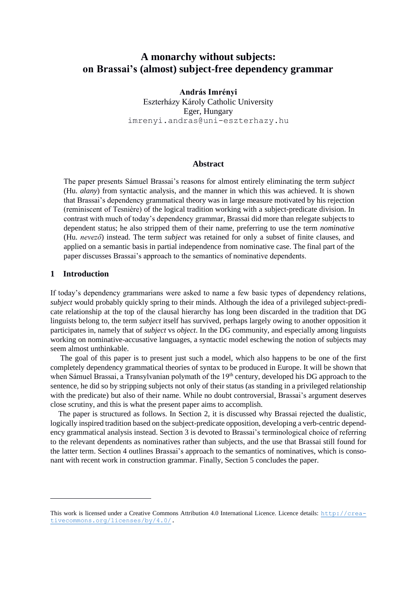# **A monarchy without subjects: on Brassai's (almost) subject-free dependency grammar\***

**András Imrényi** Eszterházy Károly Catholic University Eger, Hungary imrenyi.andras@uni-eszterhazy.hu

#### **Abstract**

The paper presents Sámuel Brassai's reasons for almost entirely eliminating the term *subject*  (Hu. *alany*) from syntactic analysis, and the manner in which this was achieved. It is shown that Brassai's dependency grammatical theory was in large measure motivated by his rejection (reminiscent of Tesnière) of the logical tradition working with a subject-predicate division. In contrast with much of today's dependency grammar, Brassai did more than relegate subjects to dependent status; he also stripped them of their name, preferring to use the term *nominative*  (Hu. *nevező*) instead. The term *subject* was retained for only a subset of finite clauses, and applied on a semantic basis in partial independence from nominative case. The final part of the paper discusses Brassai's approach to the semantics of nominative dependents.

## **1 Introduction**

If today's dependency grammarians were asked to name a few basic types of dependency relations, *subject* would probably quickly spring to their minds. Although the idea of a privileged subject-predicate relationship at the top of the clausal hierarchy has long been discarded in the tradition that DG linguists belong to, the term *subject* itself has survived, perhaps largely owing to another opposition it participates in, namely that of *subject* vs *object*. In the DG community, and especially among linguists working on nominative-accusative languages, a syntactic model eschewing the notion of subjects may seem almost unthinkable.

The goal of this paper is to present just such a model, which also happens to be one of the first completely dependency grammatical theories of syntax to be produced in Europe. It will be shown that when Sámuel Brassai, a Transylvanian polymath of the 19<sup>th</sup> century, developed his DG approach to the sentence, he did so by stripping subjects not only of their status (as standing in a privileged relationship with the predicate) but also of their name. While no doubt controversial, Brassai's argument deserves close scrutiny, and this is what the present paper aims to accomplish.

The paper is structured as follows. In Section 2, it is discussed why Brassai rejected the dualistic, logically inspired tradition based on the subject-predicate opposition, developing a verb-centric dependency grammatical analysis instead. Section 3 is devoted to Brassai's terminological choice of referring to the relevant dependents as nominatives rather than subjects, and the use that Brassai still found for the latter term. Section 4 outlines Brassai's approach to the semantics of nominatives, which is consonant with recent work in construction grammar. Finally, Section 5 concludes the paper.

This work is licensed under a Creative Commons Attribution 4.0 International Licence. Licence details: [http://crea](http://creativecommons.org/licenses/by/4.0/)[tivecommons.org/licenses/by/4.0/.](http://creativecommons.org/licenses/by/4.0/)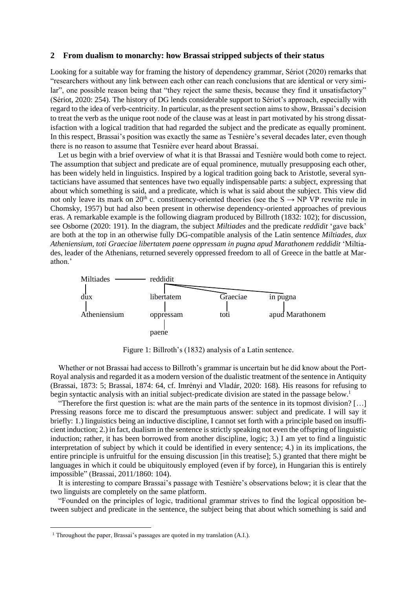#### **2 From dualism to monarchy: how Brassai stripped subjects of their status**

Looking for a suitable way for framing the history of dependency grammar, Sériot (2020) remarks that "researchers without any link between each other can reach conclusions that are identical or very similar", one possible reason being that "they reject the same thesis, because they find it unsatisfactory" (Sériot, 2020: 254). The history of DG lends considerable support to Sériot's approach, especially with regard to the idea of verb-centricity. In particular, as the present section aims to show, Brassai's decision to treat the verb as the unique root node of the clause was at least in part motivated by his strong dissatisfaction with a logical tradition that had regarded the subject and the predicate as equally prominent. In this respect, Brassai's position was exactly the same as Tesnière's several decades later, even though there is no reason to assume that Tesnière ever heard about Brassai.

Let us begin with a brief overview of what it is that Brassai and Tesnière would both come to reject. The assumption that subject and predicate are of equal prominence, mutually presupposing each other, has been widely held in linguistics. Inspired by a logical tradition going back to Aristotle, several syntacticians have assumed that sentences have two equally indispensable parts: a subject, expressing that about which something is said, and a predicate, which is what is said about the subject. This view did not only leave its mark on 20<sup>th</sup> c. constituency-oriented theories (see the  $S \rightarrow NP VP$  rewrite rule in Chomsky, 1957) but had also been present in otherwise dependency-oriented approaches of previous eras. A remarkable example is the following diagram produced by Billroth (1832: 102); for discussion, see Osborne (2020: 191). In the diagram, the subject *Miltiades* and the predicate *reddidit* 'gave back' are both at the top in an otherwise fully DG-compatible analysis of the Latin sentence *Miltiades, dux Atheniensium, toti Graeciae libertatem paene oppressam in pugna apud Marathonem reddidit* 'Miltiades, leader of the Athenians, returned severely oppressed freedom to all of Greece in the battle at Marathon.'



Figure 1: Billroth's (1832) analysis of a Latin sentence.

Whether or not Brassai had access to Billroth's grammar is uncertain but he did know about the Port-Royal analysis and regarded it as a modern version of the dualistic treatment of the sentence in Antiquity (Brassai, 1873: 5; Brassai, 1874: 64, cf. Imrényi and Vladár, 2020: 168). His reasons for refusing to begin syntactic analysis with an initial subject-predicate division are stated in the passage below. 1

"Therefore the first question is: what are the main parts of the sentence in its topmost division? […] Pressing reasons force me to discard the presumptuous answer: subject and predicate. I will say it briefly: 1.) linguistics being an inductive discipline, I cannot set forth with a principle based on insufficient induction; 2.) in fact, dualism in the sentence is strictly speaking not even the offspring of linguistic induction; rather, it has been borrowed from another discipline, logic; 3.) I am yet to find a linguistic interpretation of subject by which it could be identified in every sentence; 4.) in its implications, the entire principle is unfruitful for the ensuing discussion [in this treatise]; 5.) granted that there might be languages in which it could be ubiquitously employed (even if by force), in Hungarian this is entirely impossible" (Brassai, 2011/1860: 104).

It is interesting to compare Brassai's passage with Tesnière's observations below; it is clear that the two linguists are completely on the same platform.

"Founded on the principles of logic, traditional grammar strives to find the logical opposition between subject and predicate in the sentence, the subject being that about which something is said and

<sup>&</sup>lt;sup>1</sup> Throughout the paper, Brassai's passages are quoted in my translation (A.I.).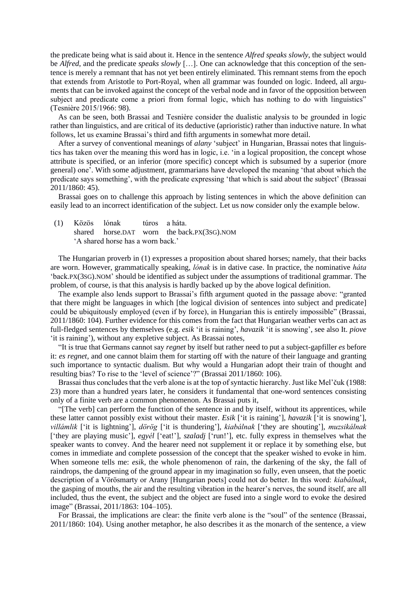the predicate being what is said about it. Hence in the sentence *Alfred speaks slowly*, the subject would be *Alfred*, and the predicate *speaks slowly* […]. One can acknowledge that this conception of the sentence is merely a remnant that has not yet been entirely eliminated. This remnant stems from the epoch that extends from Aristotle to Port-Royal, when all grammar was founded on logic. Indeed, all arguments that can be invoked against the concept of the verbal node and in favor of the opposition between subject and predicate come a priori from formal logic, which has nothing to do with linguistics" (Tesnière 2015/1966: 98).

As can be seen, both Brassai and Tesnière consider the dualistic analysis to be grounded in logic rather than linguistics, and are critical of its deductive (aprioristic) rather than inductive nature. In what follows, let us examine Brassai's third and fifth arguments in somewhat more detail.

After a survey of conventional meanings of *alany* 'subject' in Hungarian, Brassai notes that linguistics has taken over the meaning this word has in logic, i.e. 'in a logical proposition, the concept whose attribute is specified, or an inferior (more specific) concept which is subsumed by a superior (more general) one'. With some adjustment, grammarians have developed the meaning 'that about which the predicate says something', with the predicate expressing 'that which is said about the subject' (Brassai 2011/1860: 45).

Brassai goes on to challenge this approach by listing sentences in which the above definition can easily lead to an incorrect identification of the subject. Let us now consider only the example below.

(1) Közös lónak túros a háta. shared horse.DAT worn the back.PX(3SG).NOM 'A shared horse has a worn back.'

The Hungarian proverb in (1) expresses a proposition about shared horses; namely, that their backs are worn. However, grammatically speaking, *lónak* is in dative case. In practice, the nominative *háta*  'back.PX(3SG).NOM' should be identified as subject under the assumptions of traditional grammar. The problem, of course, is that this analysis is hardly backed up by the above logical definition.

The example also lends support to Brassai's fifth argument quoted in the passage above: "granted that there might be languages in which [the logical division of sentences into subject and predicate] could be ubiquitously employed (even if by force), in Hungarian this is entirely impossible" (Brassai, 2011/1860: 104). Further evidence for this comes from the fact that Hungarian weather verbs can act as full-fledged sentences by themselves (e.g. *esik* 'it is raining', *havazik* 'it is snowing', see also It. *piove*  'it is raining'), without any expletive subject. As Brassai notes,

"It is true that Germans cannot say *regnet* by itself but rather need to put a subject-gapfiller *es* before it: *es regnet,* and one cannot blaim them for starting off with the nature of their language and granting such importance to syntactic dualism. But why would a Hungarian adopt their train of thought and resulting bias? To rise to the 'level of science'?" (Brassai 2011/1860: 106).

Brassai thus concludes that the verb alone is at the top of syntactic hierarchy. Just like Mel'čuk (1988: 23) more than a hundred years later, he considers it fundamental that one-word sentences consisting only of a finite verb are a common phenomenon. As Brassai puts it,

"[The verb] can perform the function of the sentence in and by itself, without its apprentices, while these latter cannot possibly exist without their master. *Esik* ['it is raining'], *havazik* ['it is snowing'], *villámlik* ['it is lightning'], *dörög* ['it is thundering'], *kiabálnak* ['they are shouting'], *muzsikálnak*  ['they are playing music'], *egyél* ['eat!'], *szaladj* ['run!'], etc. fully express in themselves what the speaker wants to convey. And the hearer need not supplement it or replace it by something else, but comes in immediate and complete possession of the concept that the speaker wished to evoke in him. When someone tells me: *esik*, the whole phenomenon of rain, the darkening of the sky, the fall of raindrops, the dampening of the ground appear in my imagination so fully, even unseen, that the poetic description of a Vörösmarty or Arany [Hungarian poets] could not do better. In this word: *kiabálnak*, the gasping of mouths, the air and the resulting vibration in the hearer's nerves, the sound itself, are all included, thus the event, the subject and the object are fused into a single word to evoke the desired image" (Brassai, 2011/1863: 104–105).

For Brassai, the implications are clear: the finite verb alone is the "soul" of the sentence (Brassai, 2011/1860: 104). Using another metaphor, he also describes it as the monarch of the sentence, a view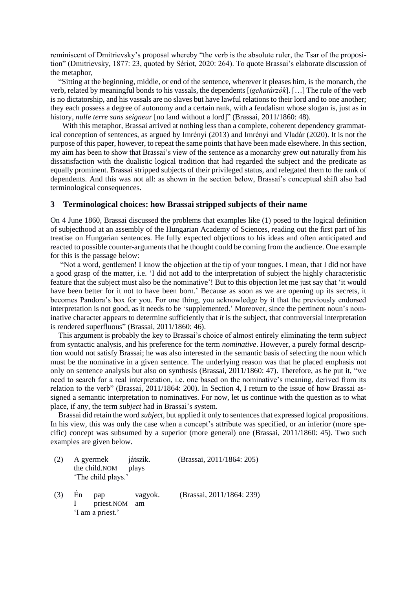reminiscent of Dmitrievsky's proposal whereby "the verb is the absolute ruler, the Tsar of the proposition" (Dmitrievsky, 1877: 23, quoted by Sériot, 2020: 264). To quote Brassai's elaborate discussion of the metaphor,

"Sitting at the beginning, middle, or end of the sentence, wherever it pleases him, is the monarch, the verb, related by meaningful bonds to his vassals, the dependents [*igehatárzók*]. […] The rule of the verb is no dictatorship, and his vassals are no slaves but have lawful relations to their lord and to one another; they each possess a degree of autonomy and a certain rank, with a feudalism whose slogan is, just as in history, *nulle terre sans seigneur* [no land without a lord]" (Brassai, 2011/1860: 48).

With this metaphor, Brassai arrived at nothing less than a complete, coherent dependency grammatical conception of sentences, as argued by Imrényi (2013) and Imrényi and Vladár (2020). It is not the purpose of this paper, however, to repeat the same points that have been made elsewhere. In this section, my aim has been to show that Brassai's view of the sentence as a monarchy grew out naturally from his dissatisfaction with the dualistic logical tradition that had regarded the subject and the predicate as equally prominent. Brassai stripped subjects of their privileged status, and relegated them to the rank of dependents. And this was not all: as shown in the section below, Brassai's conceptual shift also had terminological consequences.

#### **3 Terminological choices: how Brassai stripped subjects of their name**

On 4 June 1860, Brassai discussed the problems that examples like (1) posed to the logical definition of subjecthood at an assembly of the Hungarian Academy of Sciences, reading out the first part of his treatise on Hungarian sentences. He fully expected objections to his ideas and often anticipated and reacted to possible counter-arguments that he thought could be coming from the audience. One example for this is the passage below:

"Not a word, gentlemen! I know the objection at the tip of your tongues. I mean, that I did not have a good grasp of the matter, i.e. 'I did not add to the interpretation of subject the highly characteristic feature that the subject must also be the nominative'! But to this objection let me just say that 'it would have been better for it not to have been born.' Because as soon as we are opening up its secrets, it becomes Pandora's box for you. For one thing, you acknowledge by it that the previously endorsed interpretation is not good, as it needs to be 'supplemented.' Moreover, since the pertinent noun's nominative character appears to determine sufficiently that *it* is the subject, that controversial interpretation is rendered superfluous" (Brassai, 2011/1860: 46).

This argument is probably the key to Brassai's choice of almost entirely eliminating the term *subject*  from syntactic analysis, and his preference for the term *nominative*. However, a purely formal description would not satisfy Brassai; he was also interested in the semantic basis of selecting the noun which must be the nominative in a given sentence. The underlying reason was that he placed emphasis not only on sentence analysis but also on synthesis (Brassai, 2011/1860: 47). Therefore, as he put it, "we need to search for a real interpretation, i.e. one based on the nominative's meaning, derived from its relation to the verb" (Brassai, 2011/1864: 200). In Section 4, I return to the issue of how Brassai assigned a semantic interpretation to nominatives. For now, let us continue with the question as to what place, if any, the term *subject* had in Brassai's system.

Brassai did retain the word *subject*, but applied it only to sentences that expressed logical propositions. In his view, this was only the case when a concept's attribute was specified, or an inferior (more specific) concept was subsumed by a superior (more general) one (Brassai, 2011/1860: 45). Two such examples are given below.

| (2) | A gyermek<br>the child.NOM<br>'The child plays.' |                                       | játszik.<br>plays | (Brassai, 2011/1864: 205) |  |  |
|-----|--------------------------------------------------|---------------------------------------|-------------------|---------------------------|--|--|
| (3) | En                                               | pap<br>priest.NOM<br>'I am a priest.' | vagyok.<br>am     | (Brassai, 2011/1864: 239) |  |  |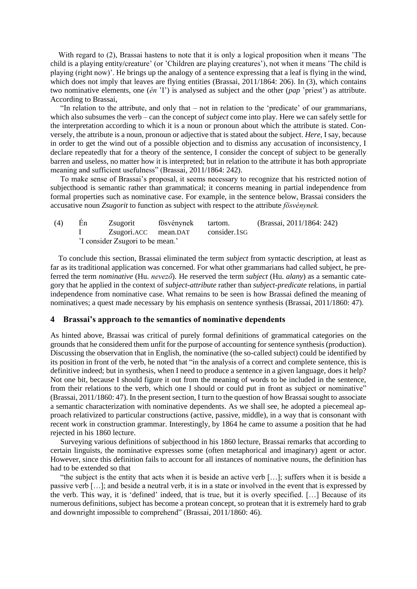With regard to (2), Brassai hastens to note that it is only a logical proposition when it means 'The child is a playing entity/creature' (or 'Children are playing creatures'), not when it means 'The child is playing (right now)'. He brings up the analogy of a sentence expressing that a leaf is flying in the wind, which does not imply that leaves are flying entities (Brassai, 2011/1864: 206). In (3), which contains two nominative elements, one (*én* 'I') is analysed as subject and the other (*pap* 'priest') as attribute. According to Brassai,

"In relation to the attribute, and only that – not in relation to the 'predicate' of our grammarians, which also subsumes the verb – can the concept of *subject* come into play. Here we can safely settle for the interpretation according to which it is a noun or pronoun about which the attribute is stated. Conversely, the attribute is a noun, pronoun or adjective that is stated about the subject. *Here*, I say, because in order to get the wind out of a possible objection and to dismiss any accusation of inconsistency, I declare repeatedly that for a theory of the sentence, I consider the concept of subject to be generally barren and useless, no matter how it is interpreted; but in relation to the attribute it has both appropriate meaning and sufficient usefulness" (Brassai, 2011/1864: 242).

To make sense of Brassai's proposal, it seems necessary to recognize that his restricted notion of subjecthood is semantic rather than grammatical; it concerns meaning in partial independence from formal properties such as nominative case. For example, in the sentence below, Brassai considers the accusative noun *Zsugorit* to function as subject with respect to the attribute *fösvénynek.*

| (4) | En | Zsugorit                          | fösvénynek tartom. |  | (Brassai, 2011/1864: 242) |
|-----|----|-----------------------------------|--------------------|--|---------------------------|
|     |    | Zsugori.ACC mean.DAT consider.1SG |                    |  |                           |
|     |    | 'I consider Zsugori to be mean.'  |                    |  |                           |

To conclude this section, Brassai eliminated the term *subject* from syntactic description, at least as far as its traditional application was concerned. For what other grammarians had called subject, he preferred the term *nominative* (Hu. *nevező*)*.* He reserved the term *subject* (Hu. *alany*) as a semantic category that he applied in the context of *subject-attribute* rather than *subject-predicate* relations, in partial independence from nominative case. What remains to be seen is how Brassai defined the meaning of nominatives; a quest made necessary by his emphasis on sentence synthesis (Brassai, 2011/1860: 47).

#### **4 Brassai's approach to the semantics of nominative dependents**

As hinted above, Brassai was critical of purely formal definitions of grammatical categories on the grounds that he considered them unfit for the purpose of accounting for sentence synthesis (production). Discussing the observation that in English, the nominative (the so-called subject) could be identified by its position in front of the verb, he noted that "in the analysis of a correct and complete sentence, this is definitive indeed; but in synthesis, when I need to produce a sentence in a given language, does it help? Not one bit, because I should figure it out from the meaning of words to be included in the sentence, from their relations to the verb, which one I should or could put in front as subject or nominative" (Brassai, 2011/1860: 47). In the present section, I turn to the question of how Brassai sought to associate a semantic characterization with nominative dependents. As we shall see, he adopted a piecemeal approach relativized to particular constructions (active, passive, middle), in a way that is consonant with recent work in construction grammar. Interestingly, by 1864 he came to assume a position that he had rejected in his 1860 lecture.

Surveying various definitions of subjecthood in his 1860 lecture, Brassai remarks that according to certain linguists, the nominative expresses some (often metaphorical and imaginary) agent or actor. However, since this definition fails to account for all instances of nominative nouns, the definition has had to be extended so that

"the subject is the entity that acts when it is beside an active verb […]; suffers when it is beside a passive verb […]; and beside a neutral verb, it is in a state or involved in the event that is expressed by the verb. This way, it is 'defined' indeed, that is true, but it is overly specified. […] Because of its numerous definitions, subject has become a protean concept, so protean that it is extremely hard to grab and downright impossible to comprehend" (Brassai, 2011/1860: 46).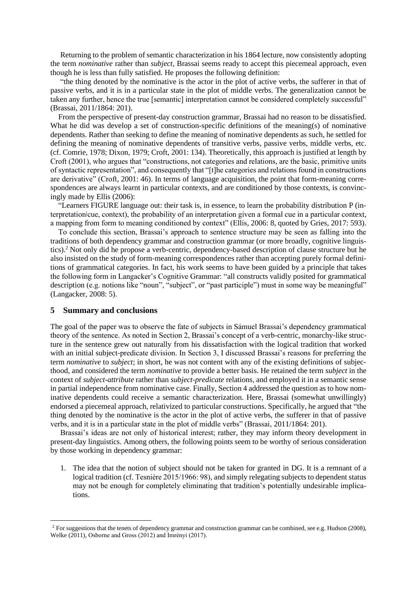Returning to the problem of semantic characterization in his 1864 lecture, now consistently adopting the term *nominative* rather than *subject,* Brassai seems ready to accept this piecemeal approach, even though he is less than fully satisfied. He proposes the following definition:

"the thing denoted by the nominative is the actor in the plot of active verbs, the sufferer in that of passive verbs, and it is in a particular state in the plot of middle verbs. The generalization cannot be taken any further, hence the true [semantic] interpretation cannot be considered completely successful" (Brassai, 2011/1864: 201).

From the perspective of present-day construction grammar, Brassai had no reason to be dissatisfied. What he did was develop a set of construction-specific definitions of the meaning(s) of nominative dependents. Rather than seeking to define the meaning of nominative dependents as such, he settled for defining the meaning of nominative dependents of transitive verbs, passive verbs, middle verbs, etc. (cf. Comrie, 1978; Dixon, 1979; Croft, 2001: 134). Theoretically, this approach is justified at length by Croft (2001), who argues that "constructions, not categories and relations, are the basic, primitive units of syntactic representation", and consequently that "[t]he categories and relations found in constructions are derivative" (Croft, 2001: 46). In terms of language acquisition, the point that form-meaning correspondences are always learnt in particular contexts, and are conditioned by those contexts, is convincingly made by Ellis (2006):

"Learners FIGURE language out: their task is, in essence, to learn the probability distribution P (interpretationǀcue, context), the probability of an interpretation given a formal cue in a particular context, a mapping from form to meaning conditioned by context" (Ellis, 2006: 8, quoted by Gries, 2017: 593).

To conclude this section, Brassai's approach to sentence structure may be seen as falling into the traditions of both dependency grammar and construction grammar (or more broadly, cognitive linguistics).<sup>2</sup> Not only did he propose a verb-centric, dependency-based description of clause structure but he also insisted on the study of form-meaning correspondences rather than accepting purely formal definitions of grammatical categories. In fact, his work seems to have been guided by a principle that takes the following form in Langacker's Cognitive Grammar: "all constructs validly posited for grammatical description (e.g. notions like "noun", "subject", or "past participle") must in some way be meaningful" (Langacker, 2008: 5).

#### **5 Summary and conclusions**

The goal of the paper was to observe the fate of subjects in Sámuel Brassai's dependency grammatical theory of the sentence. As noted in Section 2, Brassai's concept of a verb-centric, monarchy-like structure in the sentence grew out naturally from his dissatisfaction with the logical tradition that worked with an initial subject-predicate division. In Section 3, I discussed Brassai's reasons for preferring the term *nominative* to *subject*; in short, he was not content with any of the existing definitions of subjecthood, and considered the term *nominative* to provide a better basis. He retained the term *subject* in the context of *subject-attribute* rather than *subject-predicate* relations, and employed it in a semantic sense in partial independence from nominative case. Finally, Section 4 addressed the question as to how nominative dependents could receive a semantic characterization. Here, Brassai (somewhat unwillingly) endorsed a piecemeal approach, relativized to particular constructions. Specifically, he argued that "the thing denoted by the nominative is the actor in the plot of active verbs, the sufferer in that of passive verbs, and it is in a particular state in the plot of middle verbs" (Brassai, 2011/1864: 201).

Brassai's ideas are not only of historical interest; rather, they may inform theory development in present-day linguistics. Among others, the following points seem to be worthy of serious consideration by those working in dependency grammar:

1. The idea that the notion of subject should not be taken for granted in DG. It is a remnant of a logical tradition (cf. Tesnière 2015/1966: 98), and simply relegating subjects to dependent status may not be enough for completely eliminating that tradition's potentially undesirable implications.

<sup>&</sup>lt;sup>2</sup> For suggestions that the tenets of dependency grammar and construction grammar can be combined, see e.g. Hudson (2008), Welke (2011), Osborne and Gross (2012) and Imrényi (2017).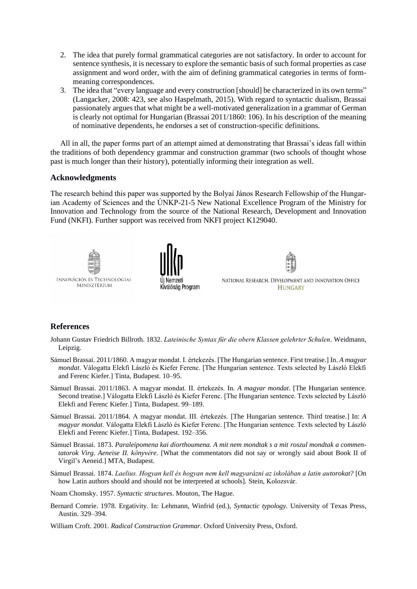- 2. The idea that purely formal grammatical categories are not satisfactory. In order to account for sentence synthesis, it is necessary to explore the semantic basis of such formal properties as case assignment and word order, with the aim of defining grammatical categories in terms of formmeaning correspondences.
- 3. The idea that "every language and every construction [should] be characterized in its own terms" (Langacker, 2008: 423, see also Haspelmath, 2015). With regard to syntactic dualism, Brassai passionately argues that what might be a well-motivated generalization in a grammar of German is clearly not optimal for Hungarian (Brassai 2011/1860: 106). In his description of the meaning of nominative dependents, he endorses a set of construction-specific definitions.

All in all, the paper forms part of an attempt aimed at demonstrating that Brassai's ideas fall within the traditions of both dependency grammar and construction grammar (two schools of thought whose past is much longer than their history), potentially informing their integration as well.

## **Acknowledgments**

The research behind this paper was supported by the Bolyai János Research Fellowship of the Hungarian Academy of Sciences and the ÚNKP-21-5 New National Excellence Program of the Ministry for Innovation and Technology from the source of the National Research, Development and Innovation Fund (NKFI). Further support was received from NKFI project K129040.



# **References**

- Johann Gustav Friedrich Billroth. 1832. *Lateinische Syntax für die obern Klassen gelehrter Schulen*. Weidmann, Leipzig.
- Sámuel Brassai. 2011/1860. A magyar mondat. I. értekezés. [The Hungarian sentence. First treatise.] In. *A magyar mondat*. Válogatta Elekfi László és Kiefer Ferenc. [The Hungarian sentence. Texts selected by László Elekfi and Ferenc Kiefer.] Tinta, Budapest. 10–95.
- Sámuel Brassai. 2011/1863. A magyar mondat. II. értekezés. In. *A magyar mondat*. [The Hungarian sentence. Second treatise.] Válogatta Elekfi László és Kiefer Ferenc. [The Hungarian sentence. Texts selected by László Elekfi and Ferenc Kiefer.] Tinta, Budapest. 99–189.
- Sámuel Brassai. 2011/1864. A magyar mondat. III. értekezés. [The Hungarian sentence. Third treatise.] In: *A magyar mondat*. Válogatta Elekfi László és Kiefer Ferenc. [The Hungarian sentence. Texts selected by László Elekfi and Ferenc Kiefer.] Tinta, Budapest. 192–356.
- Sámuel Brassai. 1873. *Paraleipomena kai diorthoumena. A mit nem mondtak s a mit roszul mondtak a commentatorok Virg. Aeneise II. könyvére*. [What the commentators did not say or wrongly said about Book II of Virgil's Aeneid.] MTA, Budapest.
- Sámuel Brassai. 1874. *Laelius. Hogyan kell és hogyan nem kell magyarázni az iskolában a latin autorokat?* [On how Latin authors should and should not be interpreted at schools]. Stein, Kolozsvár.
- Noam Chomsky. 1957. *Syntactic structures*. Mouton, The Hague.
- Bernard Comrie. 1978. Ergativity. In: Lehmann, Winfrid (ed.), *Syntactic typology.* University of Texas Press, Austin. 329–394.
- William Croft. 2001. *Radical Construction Grammar*. Oxford University Press, Oxford.